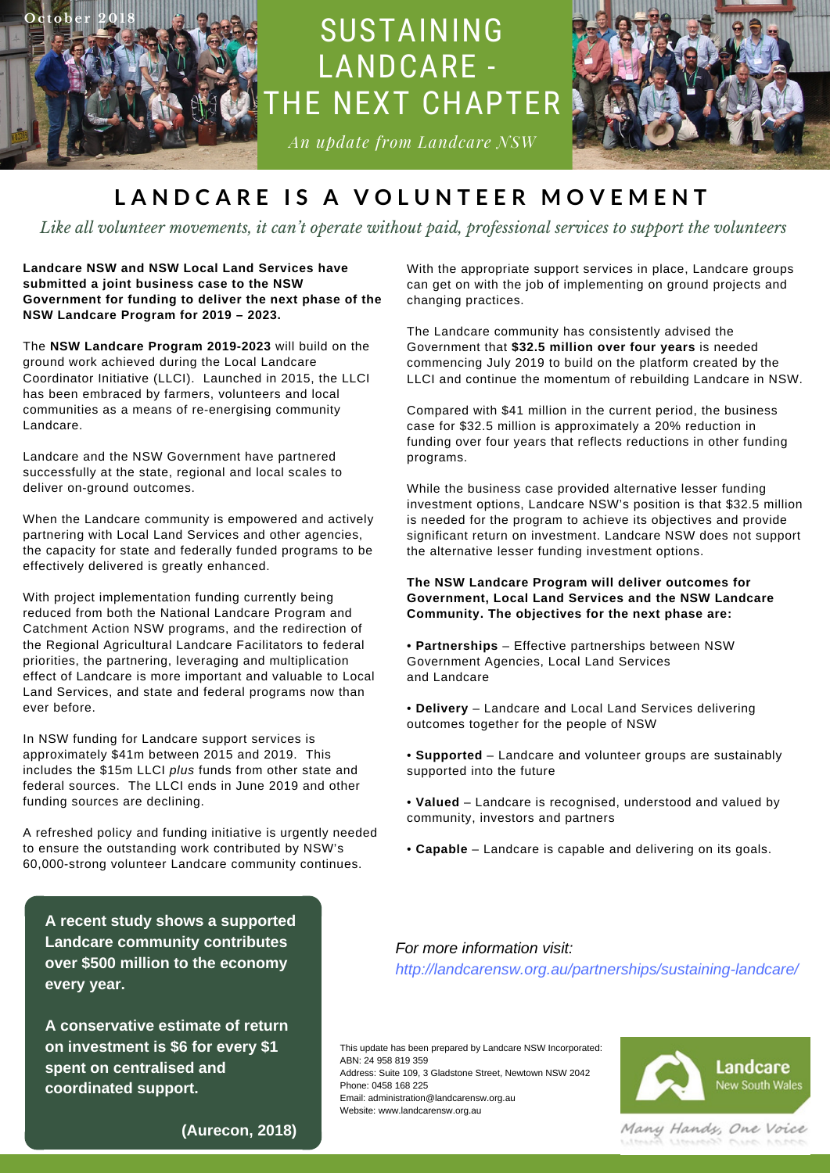

# SUSTAINING LANDCARE - THE NEXT CHAPTER

*An update from Landcare NSW*



## LANDCARE IS A VOLUNTEER MOVEMENT

*Like all volunteer movements, it can't operate without paid, professional services to support the volunteers*

**Landcare NSW and NSW Local Land Services have submitted a joint business case to the NSW Government for funding to deliver the next phase of the NSW Landcare Program for 2019 – 2023.**

*I n si d e t h e I ss u e* Coordinator Initiative (LLCI). Launched in 2015, the LLCI The **NSW Landcare Program 2019-2023** will build on the ground work achieved during the Local Landcare has been embraced by farmers, volunteers and local communities as a means of re-energising community Landcare.

Landcare and the NSW Government have partnered successfully at the state, regional and local scales to deliver on-ground outcomes.

When the Landcare community is empowered and actively partnering with Local Land Services and other agencies, the capacity for state and federally funded programs to be effectively delivered is greatly enhanced.

With project implementation funding currently being reduced from both the National Landcare Program and Catchment Action NSW programs, and the redirection of the Regional Agricultural Landcare Facilitators to federal priorities, the partnering, leveraging and multiplication effect of Landcare is more important and valuable to Local Land Services, and state and federal programs now than ever before.

In NSW funding for Landcare support services is approximately \$41m between 2015 and 2019. This includes the \$15m LLCI *plus* funds from other state and federal sources. The LLCI ends in June 2019 and other funding sources are declining.

A refreshed policy and funding initiative is urgently needed to ensure the outstanding work contributed by NSW's 60,000-strong volunteer Landcare community continues.

**A recent study shows a supported Landcare community contributes over \$500 million to the economy every year.**

**A [conservative](http://landcarensw.org.au/wp-content/uploads/2015/11/Sustaining-Landcare-The-Next-Chapter.pdf) estimate of return on investment is \$6 for every \$1 spent on centralised and coordinated support.**

With the appropriate support services in place, Landcare groups can get on with the job of implementing on ground projects and changing practices.

The Landcare community has consistently advised the Government that **\$32.5 million over four years** is needed commencing July 2019 to build on the platform created by the LLCI and continue the momentum of rebuilding Landcare in NSW.

Compared with \$41 million in the current period, the business case for \$32.5 million is [approximately](http://landcarensw.org.au/wp-content/uploads/2015/11/Sustaining-Landcare-The-Next-Chapter.pdf) a 20% reduction in funding over four years that reflects reductions in other funding programs.

While the business case provided alternative lesser funding investment options, Landcare NSW's position is that \$32.5 million is needed for the program to achieve its objectives and provide significant return on investment. Landcare NSW does not support the alternative lesser funding investment options.

**The NSW Landcare Program will deliver outcomes for Government, Local Land Services and the NSW Landcare Community. The objectives for the next phase are:**

• **Partnerships** – Effective partnerships between NSW Government Agencies, Local Land Services and Landcare

- **Delivery** Landcare and Local Land Services delivering outcomes together for the people of NSW
- **Supported** Landcare and volunteer groups are sustainably supported into the future
- **Valued** Landcare is recognised, understood and valued by community, investors and partners
- **Capable** Landcare is capable and delivering on its goals.

*For more information visit: <http://landcarensw.org.au/partnerships/sustaining-landcare/>*

This update has been prepared by Landcare NSW Incorporated: ABN: 24 958 819 359 Address: Suite 109, 3 Gladstone Street, Newtown NSW 2042 Phone: 0458 168 225 Email: [administration@landcarensw.org.au](http://www.landcarensw.org.au/) Website: www.landcarensw.org.au



Many Handy, One Voice

**(Aurecon, 2018)**